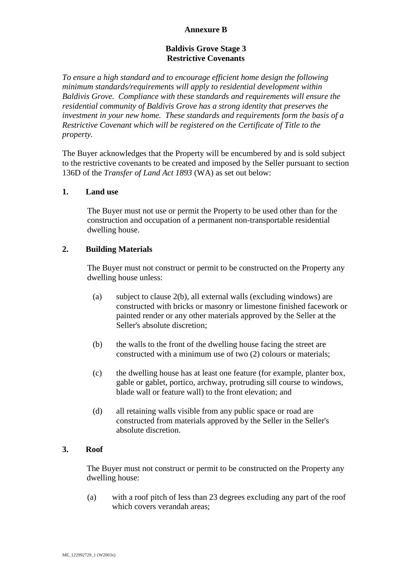### **Annexure B**

### **Baldivis Grove Stage 3 Restrictive Covenants**

*To ensure a high standard and to encourage efficient home design the following minimum standards/requirements will apply to residential development within Baldivis Grove. Compliance with these standards and requirements will ensure the residential community of Baldivis Grove has a strong identity that preserves the investment in your new home. These standards and requirements form the basis of a Restrictive Covenant which will be registered on the Certificate of Title to the property.*

The Buyer acknowledges that the Property will be encumbered by and is sold subject to the restrictive covenants to be created and imposed by the Seller pursuant to section 136D of the *Transfer of Land Act 1893* (WA) as set out below:

#### **1. Land use**

The Buyer must not use or permit the Property to be used other than for the construction and occupation of a permanent non-transportable residential dwelling house.

#### **2. Building Materials**

The Buyer must not construct or permit to be constructed on the Property any dwelling house unless:

- (a) subject to clause [2\(b\),](#page-0-0) all external walls (excluding windows) are constructed with bricks or masonry or limestone finished facework or painted render or any other materials approved by the Seller at the Seller's absolute discretion;
- <span id="page-0-0"></span>(b) the walls to the front of the dwelling house facing the street are constructed with a minimum use of two (2) colours or materials;
- (c) the dwelling house has at least one feature (for example, planter box, gable or gablet, portico, archway, protruding sill course to windows, blade wall or feature wall) to the front elevation; and
- (d) all retaining walls visible from any public space or road are constructed from materials approved by the Seller in the Seller's absolute discretion.

#### **3. Roof**

The Buyer must not construct or permit to be constructed on the Property any dwelling house:

(a) with a roof pitch of less than 23 degrees excluding any part of the roof which covers verandah areas;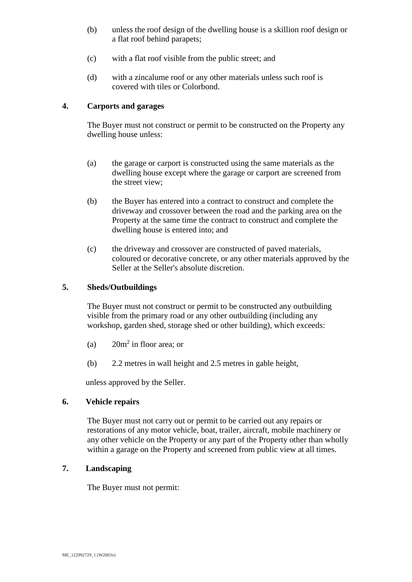- (b) unless the roof design of the dwelling house is a skillion roof design or a flat roof behind parapets;
- (c) with a flat roof visible from the public street; and
- (d) with a zincalume roof or any other materials unless such roof is covered with tiles or Colorbond.

# **4. Carports and garages**

The Buyer must not construct or permit to be constructed on the Property any dwelling house unless:

- (a) the garage or carport is constructed using the same materials as the dwelling house except where the garage or carport are screened from the street view;
- (b) the Buyer has entered into a contract to construct and complete the driveway and crossover between the road and the parking area on the Property at the same time the contract to construct and complete the dwelling house is entered into; and
- (c) the driveway and crossover are constructed of paved materials, coloured or decorative concrete, or any other materials approved by the Seller at the Seller's absolute discretion.

### **5. Sheds/Outbuildings**

The Buyer must not construct or permit to be constructed any outbuilding visible from the primary road or any other outbuilding (including any workshop, garden shed, storage shed or other building), which exceeds:

- (a)  $20m^2$  in floor area; or
- (b) 2.2 metres in wall height and 2.5 metres in gable height,

unless approved by the Seller.

#### **6. Vehicle repairs**

The Buyer must not carry out or permit to be carried out any repairs or restorations of any motor vehicle, boat, trailer, aircraft, mobile machinery or any other vehicle on the Property or any part of the Property other than wholly within a garage on the Property and screened from public view at all times.

### **7. Landscaping**

The Buyer must not permit: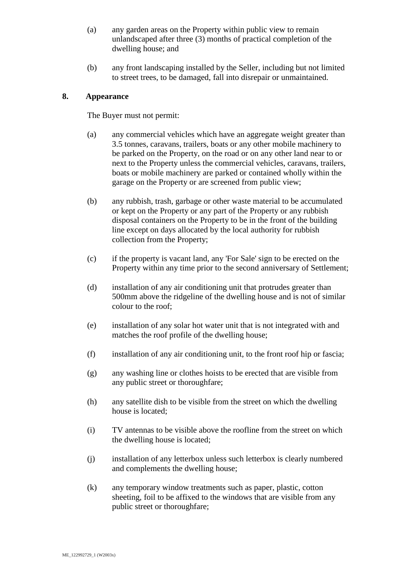- (a) any garden areas on the Property within public view to remain unlandscaped after three (3) months of practical completion of the dwelling house; and
- (b) any front landscaping installed by the Seller, including but not limited to street trees, to be damaged, fall into disrepair or unmaintained.

## **8. Appearance**

The Buyer must not permit:

- (a) any commercial vehicles which have an aggregate weight greater than 3.5 tonnes, caravans, trailers, boats or any other mobile machinery to be parked on the Property, on the road or on any other land near to or next to the Property unless the commercial vehicles, caravans, trailers, boats or mobile machinery are parked or contained wholly within the garage on the Property or are screened from public view;
- (b) any rubbish, trash, garbage or other waste material to be accumulated or kept on the Property or any part of the Property or any rubbish disposal containers on the Property to be in the front of the building line except on days allocated by the local authority for rubbish collection from the Property;
- (c) if the property is vacant land, any 'For Sale' sign to be erected on the Property within any time prior to the second anniversary of Settlement;
- (d) installation of any air conditioning unit that protrudes greater than 500mm above the ridgeline of the dwelling house and is not of similar colour to the roof;
- (e) installation of any solar hot water unit that is not integrated with and matches the roof profile of the dwelling house;
- (f) installation of any air conditioning unit, to the front roof hip or fascia;
- (g) any washing line or clothes hoists to be erected that are visible from any public street or thoroughfare;
- (h) any satellite dish to be visible from the street on which the dwelling house is located;
- (i) TV antennas to be visible above the roofline from the street on which the dwelling house is located;
- (j) installation of any letterbox unless such letterbox is clearly numbered and complements the dwelling house;
- (k) any temporary window treatments such as paper, plastic, cotton sheeting, foil to be affixed to the windows that are visible from any public street or thoroughfare;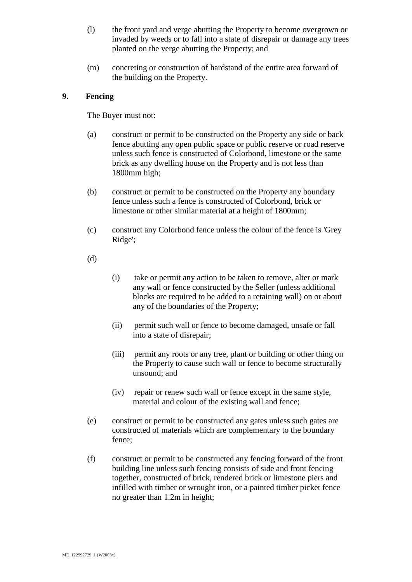- (l) the front yard and verge abutting the Property to become overgrown or invaded by weeds or to fall into a state of disrepair or damage any trees planted on the verge abutting the Property; and
- (m) concreting or construction of hardstand of the entire area forward of the building on the Property.

### **9. Fencing**

The Buyer must not:

- (a) construct or permit to be constructed on the Property any side or back fence abutting any open public space or public reserve or road reserve unless such fence is constructed of Colorbond, limestone or the same brick as any dwelling house on the Property and is not less than 1800mm high;
- (b) construct or permit to be constructed on the Property any boundary fence unless such a fence is constructed of Colorbond, brick or limestone or other similar material at a height of 1800mm;
- (c) construct any Colorbond fence unless the colour of the fence is 'Grey Ridge';
- (d)
- (i) take or permit any action to be taken to remove, alter or mark any wall or fence constructed by the Seller (unless additional blocks are required to be added to a retaining wall) on or about any of the boundaries of the Property;
- (ii) permit such wall or fence to become damaged, unsafe or fall into a state of disrepair;
- (iii) permit any roots or any tree, plant or building or other thing on the Property to cause such wall or fence to become structurally unsound; and
- (iv) repair or renew such wall or fence except in the same style, material and colour of the existing wall and fence;
- (e) construct or permit to be constructed any gates unless such gates are constructed of materials which are complementary to the boundary fence;
- <span id="page-3-0"></span>(f) construct or permit to be constructed any fencing forward of the front building line unless such fencing consists of side and front fencing together, constructed of brick, rendered brick or limestone piers and infilled with timber or wrought iron, or a painted timber picket fence no greater than 1.2m in height;